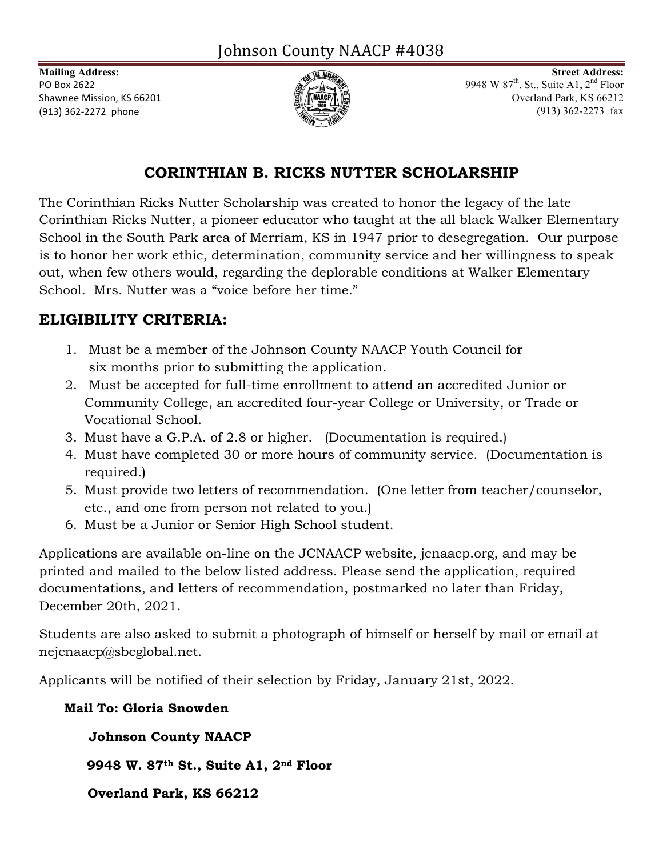

**Mailing Address: Street Address: Street Address: Street Address: Street Address: Street Address: Street Address: Street Address: Street Address: Street Address: Street Address: Street Address: Stre** PO Box 2622  $\sqrt{2\pi}$  9948 W 87<sup>th</sup>. St., Suite A1, 2<sup>nd</sup> Floor Shawnee Mission, KS 66201  $\left( \frac{1}{2} \right)$   $\left( \frac{1}{2} \right)$ (913) 362-2272 phone (913) 362-2273 fax (913) 362-2273 fax

## **CORINTHIAN B. RICKS NUTTER SCHOLARSHIP**

The Corinthian Ricks Nutter Scholarship was created to honor the legacy of the late Corinthian Ricks Nutter, a pioneer educator who taught at the all black Walker Elementary School in the South Park area of Merriam, KS in 1947 prior to desegregation. Our purpose is to honor her work ethic, determination, community service and her willingness to speak out, when few others would, regarding the deplorable conditions at Walker Elementary School. Mrs. Nutter was a "voice before her time."

# **ELIGIBILITY CRITERIA:**

- 1. Must be a member of the Johnson County NAACP Youth Council for six months prior to submitting the application.
- 2. Must be accepted for full-time enrollment to attend an accredited Junior or Community College, an accredited four-year College or University, or Trade or Vocational School.
- 3. Must have a G.P.A. of 2.8 or higher. (Documentation is required.)
- 4. Must have completed 30 or more hours of community service. (Documentation is required.)
- 5. Must provide two letters of recommendation. (One letter from teacher/counselor, etc., and one from person not related to you.)
- 6. Must be a Junior or Senior High School student.

Applications are available on-line on the JCNAACP website, jcnaacp.org, and may be printed and mailed to the below listed address. Please send the application, required documentations, and letters of recommendation, postmarked no later than Friday, December 20th, 2021.

Students are also asked to submit a photograph of himself or herself by mail or email at nejcnaacp@sbcglobal.net.

Applicants will be notified of their selection by Friday, January 21st, 2022.

### **Mail To: Gloria Snowden**

## **Johnson County NAACP**

 **9948 W. 87th St., Suite A1, 2nd Floor**

 **Overland Park, KS 66212**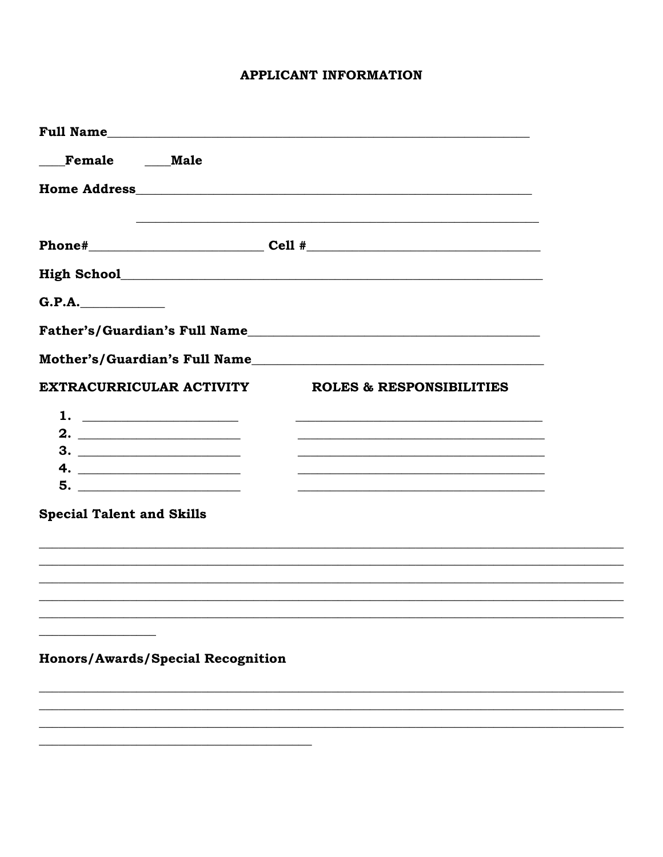#### **APPLICANT INFORMATION**

| Full Name                                     |                                     |
|-----------------------------------------------|-------------------------------------|
| Female Male                                   |                                     |
|                                               |                                     |
|                                               | $Phone \#$ Cell $\#$ Cell $\#$      |
|                                               |                                     |
| G.P.A.                                        |                                     |
|                                               | Father's/Guardian's Full Name       |
|                                               | Mother's/Guardian's Full Name       |
| EXTRACURRICULAR ACTIVITY                      | <b>ROLES &amp; RESPONSIBILITIES</b> |
|                                               |                                     |
|                                               |                                     |
|                                               |                                     |
|                                               |                                     |
| 5.                                            |                                     |
| <b>Special Talent and Skills</b>              |                                     |
|                                               |                                     |
|                                               |                                     |
|                                               |                                     |
|                                               |                                     |
| <u> 1980 - Andrea Andrew Maria (h. 1980).</u> |                                     |
| <b>Honors/Awards/Special Recognition</b>      |                                     |